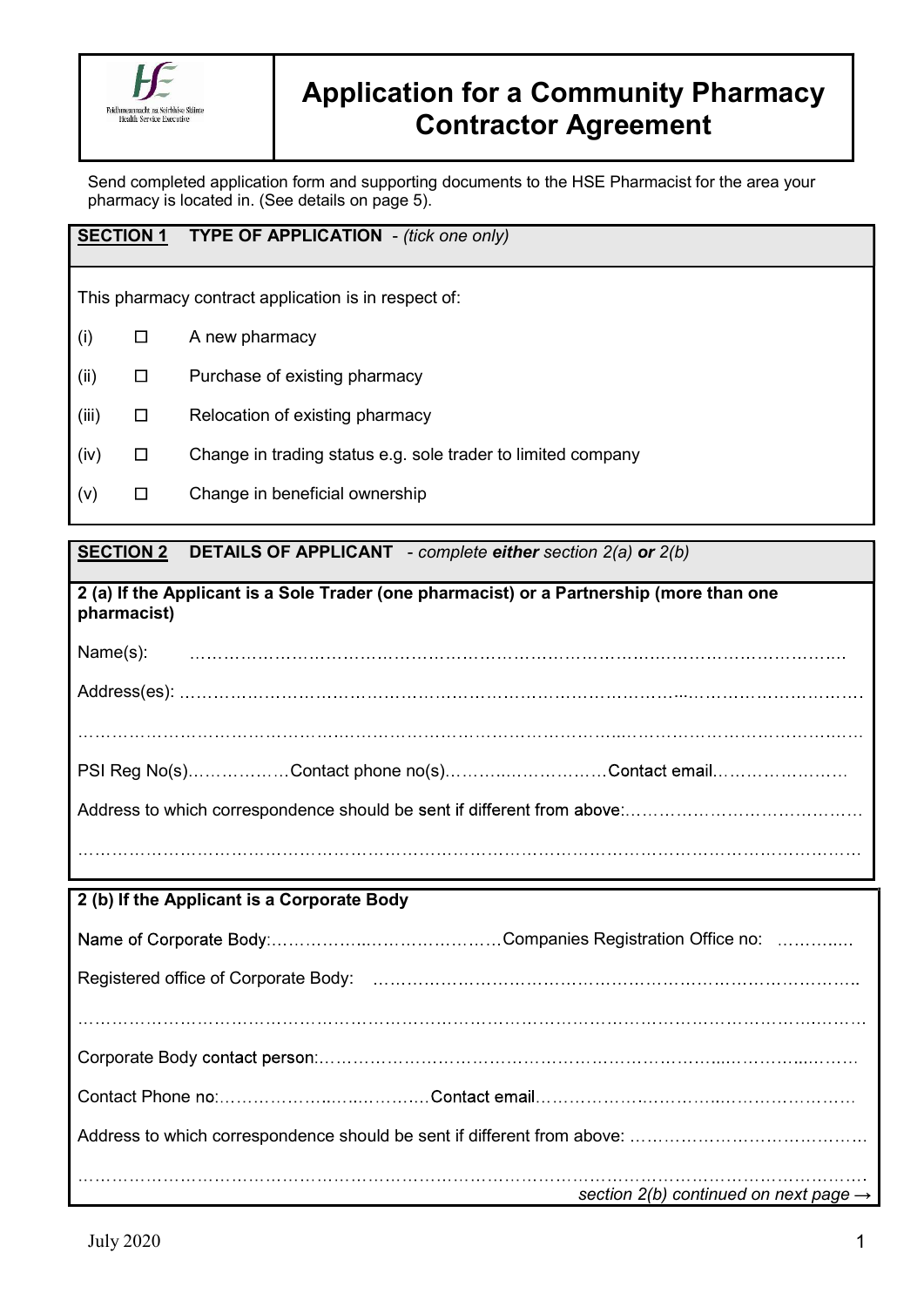

# Application for a Community Pharmacy Contractor Agreement

Send completed application form and supporting documents to the HSE Pharmacist for the area your pharmacy is located in. (See details on page 5).

# SECTION 1 TYPE OF APPLICATION - (tick one only)

This pharmacy contract application is in respect of:

- $(i)$   $\Box$  A new pharmacy
- $(ii)$   $\Box$  Purchase of existing pharmacy
- $(iii)$   $\Box$  Relocation of existing pharmacy
- $(iv)$   $\Box$  Change in trading status e.g. sole trader to limited company
- $(v)$   $\Box$  Change in beneficial ownership

# SECTION 2 DETAILS OF APPLICANT - complete either section 2(a) or 2(b)

|             | 2 (a) If the Applicant is a Sole Trader (one pharmacist) or a Partnership (more than one |
|-------------|------------------------------------------------------------------------------------------|
| pharmacist) |                                                                                          |

Name(s): Address(es): ...

PSI Reg No(s)..................Contact phone no(s).............................Contact email.................. Address to which correspondence should be

# 2 (b) If the Applicant is a Corporate Body

| section 2(b) continued on next page $\rightarrow$ |
|---------------------------------------------------|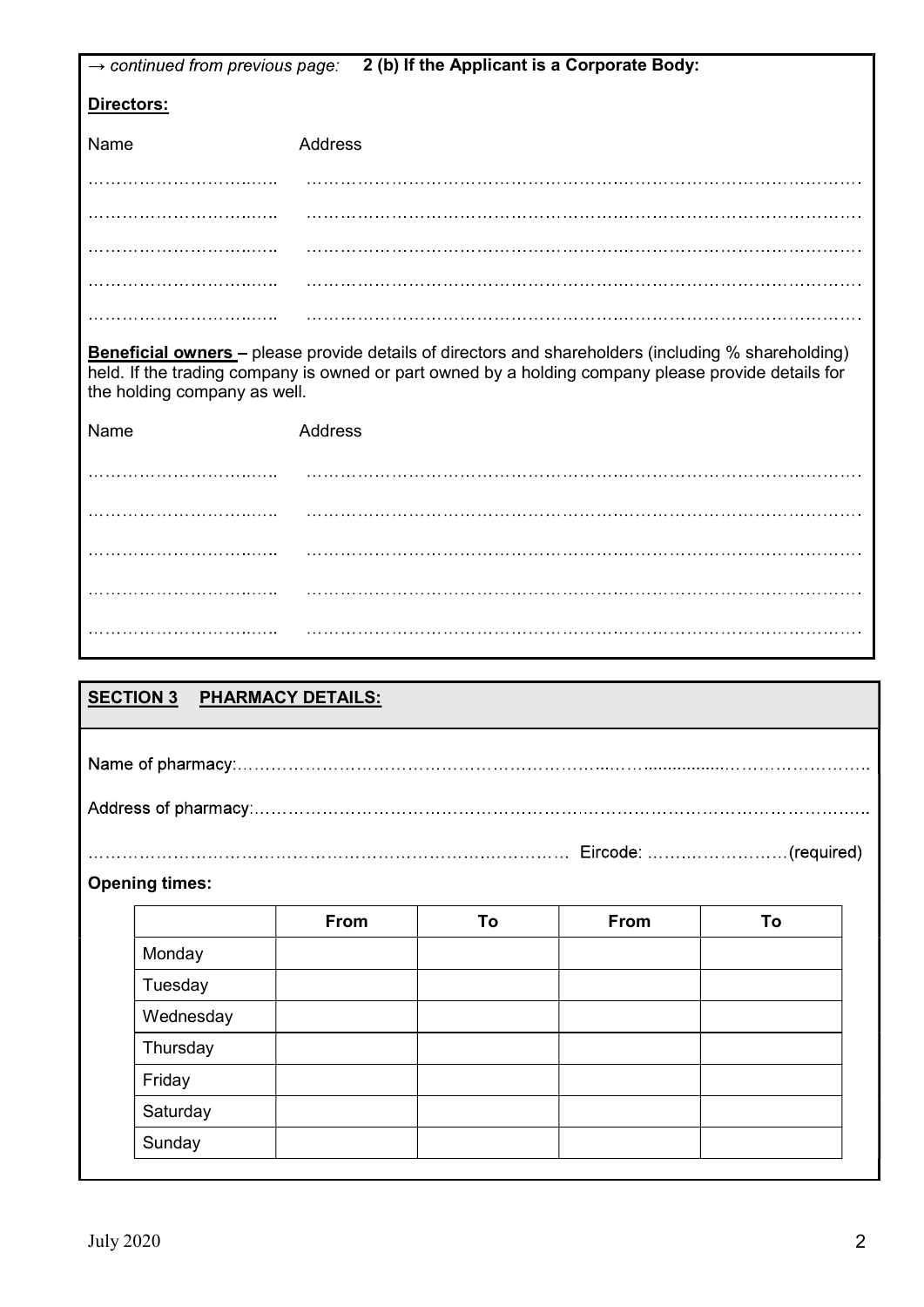| 2 (b) If the Applicant is a Corporate Body:<br>$\rightarrow$ continued from previous page: |                              |                          |    |                                                                                                                                                                                                                   |    |  |
|--------------------------------------------------------------------------------------------|------------------------------|--------------------------|----|-------------------------------------------------------------------------------------------------------------------------------------------------------------------------------------------------------------------|----|--|
| Directors:                                                                                 |                              |                          |    |                                                                                                                                                                                                                   |    |  |
| Name                                                                                       |                              | Address                  |    |                                                                                                                                                                                                                   |    |  |
|                                                                                            |                              |                          |    |                                                                                                                                                                                                                   |    |  |
|                                                                                            |                              |                          |    |                                                                                                                                                                                                                   |    |  |
|                                                                                            |                              |                          |    |                                                                                                                                                                                                                   |    |  |
|                                                                                            |                              |                          |    |                                                                                                                                                                                                                   |    |  |
|                                                                                            |                              |                          |    |                                                                                                                                                                                                                   |    |  |
|                                                                                            |                              |                          |    |                                                                                                                                                                                                                   |    |  |
|                                                                                            | the holding company as well. |                          |    | <b>Beneficial owners</b> – please provide details of directors and shareholders (including % shareholding)<br>held. If the trading company is owned or part owned by a holding company please provide details for |    |  |
| Name                                                                                       |                              | Address                  |    |                                                                                                                                                                                                                   |    |  |
|                                                                                            |                              |                          |    |                                                                                                                                                                                                                   |    |  |
|                                                                                            |                              |                          |    |                                                                                                                                                                                                                   |    |  |
|                                                                                            |                              |                          |    |                                                                                                                                                                                                                   |    |  |
|                                                                                            |                              |                          |    |                                                                                                                                                                                                                   |    |  |
|                                                                                            |                              |                          |    |                                                                                                                                                                                                                   |    |  |
|                                                                                            |                              |                          |    |                                                                                                                                                                                                                   |    |  |
|                                                                                            |                              |                          |    |                                                                                                                                                                                                                   |    |  |
| <b>SECTION 3</b>                                                                           |                              | <b>PHARMACY DETAILS:</b> |    |                                                                                                                                                                                                                   |    |  |
|                                                                                            |                              |                          |    |                                                                                                                                                                                                                   |    |  |
|                                                                                            |                              |                          |    |                                                                                                                                                                                                                   |    |  |
|                                                                                            |                              |                          |    |                                                                                                                                                                                                                   |    |  |
|                                                                                            |                              |                          |    |                                                                                                                                                                                                                   |    |  |
|                                                                                            |                              |                          |    |                                                                                                                                                                                                                   |    |  |
|                                                                                            | <b>Opening times:</b>        |                          |    |                                                                                                                                                                                                                   |    |  |
|                                                                                            |                              | From                     | To | From                                                                                                                                                                                                              | To |  |
|                                                                                            | Monday                       |                          |    |                                                                                                                                                                                                                   |    |  |
|                                                                                            | Tuesday                      |                          |    |                                                                                                                                                                                                                   |    |  |
|                                                                                            | Wednesday                    |                          |    |                                                                                                                                                                                                                   |    |  |
|                                                                                            | Thursday                     |                          |    |                                                                                                                                                                                                                   |    |  |
|                                                                                            | Friday                       |                          |    |                                                                                                                                                                                                                   |    |  |
|                                                                                            | Saturday                     |                          |    |                                                                                                                                                                                                                   |    |  |
|                                                                                            | Sunday                       |                          |    |                                                                                                                                                                                                                   |    |  |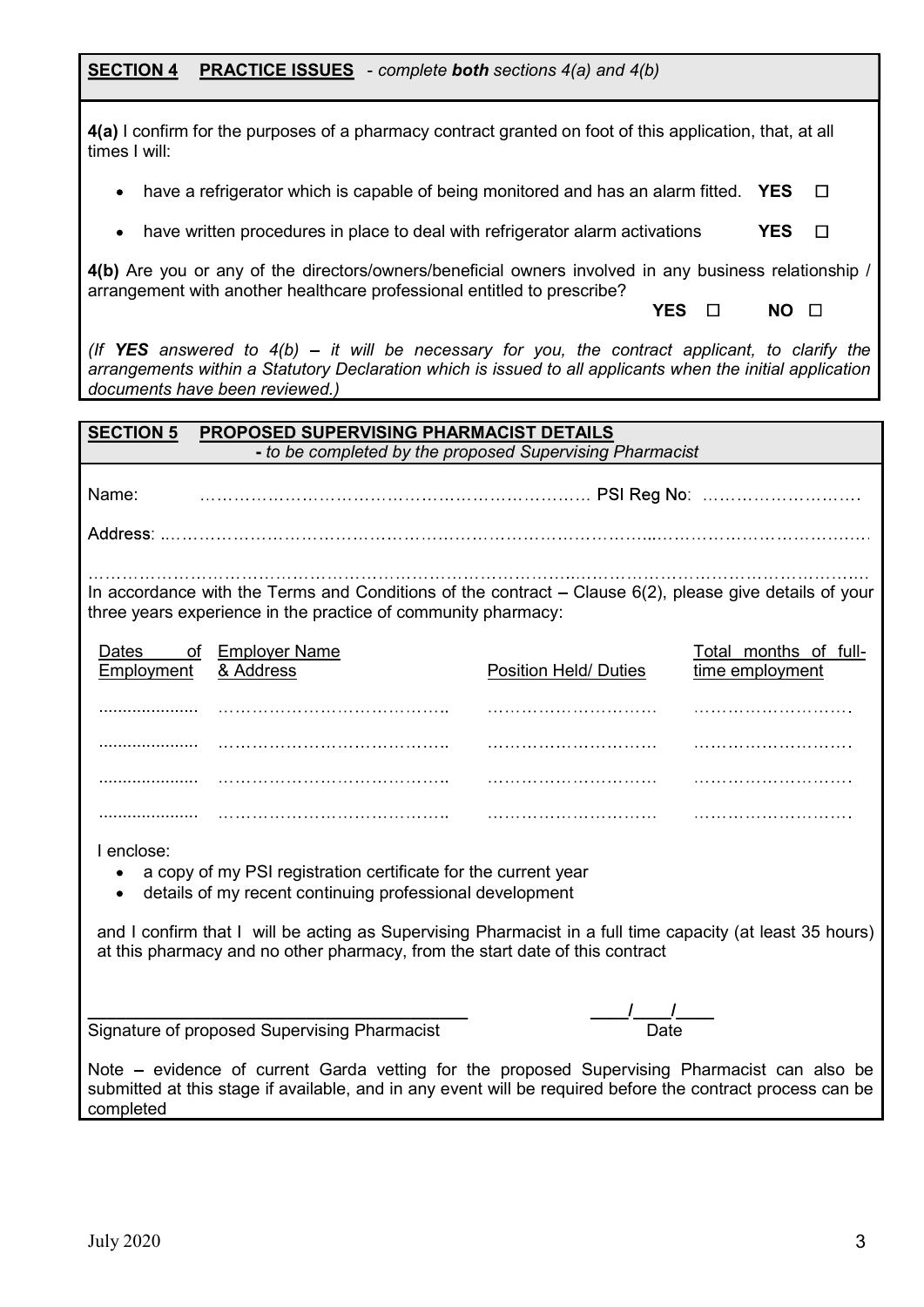| <b>SECTION 4</b> |  | <b>PRACTICE ISSUES</b> - complete <b>both</b> sections $4(a)$ and $4(b)$ |
|------------------|--|--------------------------------------------------------------------------|
|------------------|--|--------------------------------------------------------------------------|

|               | 4(a) I confirm for the purposes of a pharmacy contract granted on foot of this application, that, at all |  |
|---------------|----------------------------------------------------------------------------------------------------------|--|
| times I will: |                                                                                                          |  |

- have a refrigerator which is capable of being monitored and has an alarm fitted. YES  $\Box$
- have written procedures in place to deal with refrigerator alarm activations **YES**  $\Box$

4(b) Are you or any of the directors/owners/beneficial owners involved in any business relationship / arrangement with another healthcare professional entitled to prescribe?

(If YES answered to  $4(b)$  – it will be necessary for you, the contract applicant, to clarify the arrangements within a Statutory Declaration which is issued to all applicants when the initial application documents have been reviewed.)

| <b>SECTION 5</b> | PROPOSED SUPERVISING PHARMACIST DETAILS                                                                                                                                                                                                                                                                                 |                              |                       |
|------------------|-------------------------------------------------------------------------------------------------------------------------------------------------------------------------------------------------------------------------------------------------------------------------------------------------------------------------|------------------------------|-----------------------|
|                  | - to be completed by the proposed Supervising Pharmacist                                                                                                                                                                                                                                                                |                              |                       |
| Name:            |                                                                                                                                                                                                                                                                                                                         |                              |                       |
|                  |                                                                                                                                                                                                                                                                                                                         |                              |                       |
|                  |                                                                                                                                                                                                                                                                                                                         |                              |                       |
|                  | In accordance with the Terms and Conditions of the contract $-$ Clause $6(2)$ , please give details of your<br>three years experience in the practice of community pharmacy:                                                                                                                                            |                              |                       |
| Dates            | of Employer Name                                                                                                                                                                                                                                                                                                        |                              | Total months of full- |
| Employment       | & Address                                                                                                                                                                                                                                                                                                               | <b>Position Held/ Duties</b> | time employment       |
|                  |                                                                                                                                                                                                                                                                                                                         |                              |                       |
|                  |                                                                                                                                                                                                                                                                                                                         |                              |                       |
|                  |                                                                                                                                                                                                                                                                                                                         |                              | .                     |
| .                |                                                                                                                                                                                                                                                                                                                         |                              |                       |
| I enclose:       | a copy of my PSI registration certificate for the current year<br>details of my recent continuing professional development<br>and I confirm that I will be acting as Supervising Pharmacist in a full time capacity (at least 35 hours)<br>at this pharmacy and no other pharmacy, from the start date of this contract |                              |                       |
|                  |                                                                                                                                                                                                                                                                                                                         |                              |                       |
|                  | Signature of proposed Supervising Pharmacist                                                                                                                                                                                                                                                                            | <u>/ / /</u><br>Date         |                       |
| completed        | Note – evidence of current Garda vetting for the proposed Supervising Pharmacist can also be<br>submitted at this stage if available, and in any event will be required before the contract process can be                                                                                                              |                              |                       |